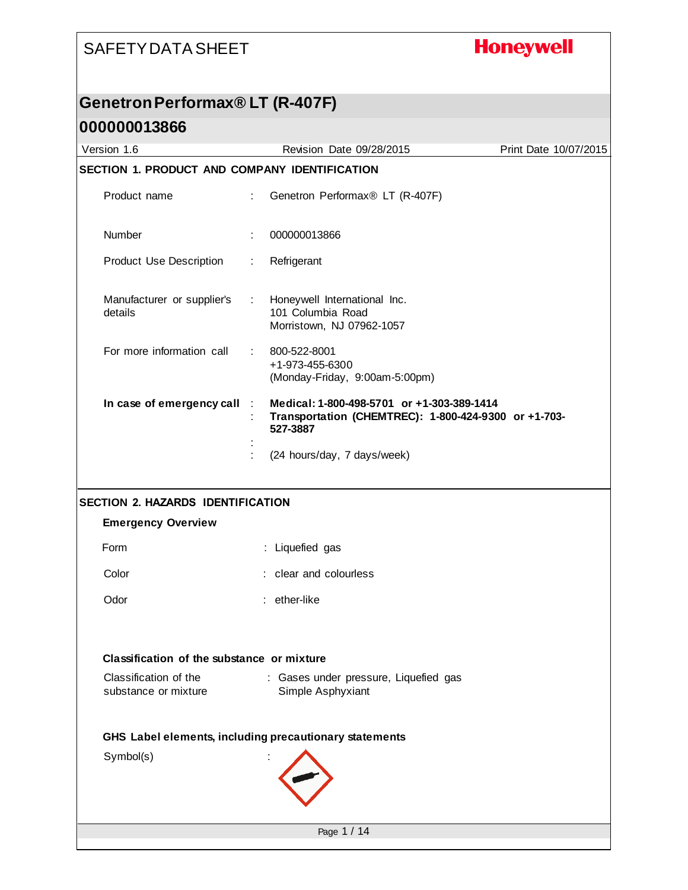## **Honeywell**

#### **Genetron Performax® LT (R-407F)**

| Version 1.6                                            | Revision Date 09/28/2015                                                                                       | Print Date 10/07/2015 |  |  |
|--------------------------------------------------------|----------------------------------------------------------------------------------------------------------------|-----------------------|--|--|
|                                                        | SECTION 1. PRODUCT AND COMPANY IDENTIFICATION                                                                  |                       |  |  |
| Product name                                           | Genetron Performax® LT (R-407F)<br>÷                                                                           |                       |  |  |
| Number                                                 | 000000013866                                                                                                   |                       |  |  |
| Product Use Description                                | Refrigerant<br>÷                                                                                               |                       |  |  |
| Manufacturer or supplier's<br>details                  | Honeywell International Inc.<br>÷.<br>101 Columbia Road<br>Morristown, NJ 07962-1057                           |                       |  |  |
| For more information call                              | 800-522-8001<br>÷.<br>+1-973-455-6300<br>(Monday-Friday, 9:00am-5:00pm)                                        |                       |  |  |
| In case of emergency call :                            | Medical: 1-800-498-5701 or +1-303-389-1414<br>Transportation (CHEMTREC): 1-800-424-9300 or +1-703-<br>527-3887 |                       |  |  |
|                                                        | (24 hours/day, 7 days/week)                                                                                    |                       |  |  |
| SECTION 2. HAZARDS IDENTIFICATION                      |                                                                                                                |                       |  |  |
| <b>Emergency Overview</b>                              |                                                                                                                |                       |  |  |
| Form                                                   | : Liquefied gas                                                                                                |                       |  |  |
| Color                                                  | : clear and colourless                                                                                         |                       |  |  |
| Odor                                                   | : ether-like                                                                                                   |                       |  |  |
|                                                        | Classification of the substance or mixture                                                                     |                       |  |  |
| Classification of the<br>substance or mixture          | : Gases under pressure, Liquefied gas<br>Simple Asphyxiant                                                     |                       |  |  |
| GHS Label elements, including precautionary statements |                                                                                                                |                       |  |  |
| Symbol(s)                                              |                                                                                                                |                       |  |  |
| Page 1 / 14                                            |                                                                                                                |                       |  |  |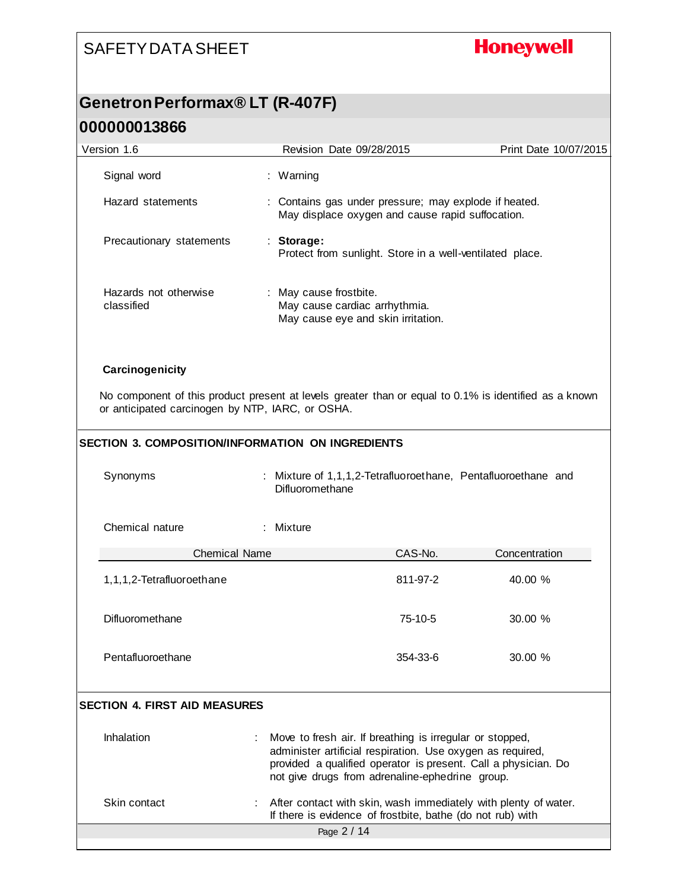## **Honeywell**

### **Genetron Performax® LT (R-407F) 000000013866**

| Version 1.6 |                                                   |  | Revision Date 09/28/2015                                                                                                                                                                                                                    | Print Date 10/07/2015 |
|-------------|---------------------------------------------------|--|---------------------------------------------------------------------------------------------------------------------------------------------------------------------------------------------------------------------------------------------|-----------------------|
|             | Signal word                                       |  | : Warning                                                                                                                                                                                                                                   |                       |
|             | Hazard statements                                 |  | : Contains gas under pressure; may explode if heated.<br>May displace oxygen and cause rapid suffocation.                                                                                                                                   |                       |
|             | Precautionary statements                          |  | : Storage:<br>Protect from sunlight. Store in a well-ventilated place.                                                                                                                                                                      |                       |
|             | Hazards not otherwise<br>classified               |  | : May cause frostbite.<br>May cause cardiac arrhythmia.<br>May cause eye and skin irritation.                                                                                                                                               |                       |
|             | Carcinogenicity                                   |  |                                                                                                                                                                                                                                             |                       |
|             | or anticipated carcinogen by NTP, IARC, or OSHA.  |  | No component of this product present at levels greater than or equal to 0.1% is identified as a known                                                                                                                                       |                       |
|             | SECTION 3. COMPOSITION/INFORMATION ON INGREDIENTS |  |                                                                                                                                                                                                                                             |                       |
|             | Synonyms                                          |  | Mixture of 1,1,1,2-Tetrafluoroethane, Pentafluoroethane and<br>Difluoromethane                                                                                                                                                              |                       |
|             | Chemical nature                                   |  | : Mixture                                                                                                                                                                                                                                   |                       |
|             | <b>Chemical Name</b>                              |  | CAS-No.                                                                                                                                                                                                                                     | Concentration         |
|             | 1,1,1,2-Tetrafluoroethane                         |  | 811-97-2                                                                                                                                                                                                                                    | 40.00 %               |
|             | Difluoromethane                                   |  | 75-10-5                                                                                                                                                                                                                                     | 30.00 %               |
|             | Pentafluoroethane                                 |  | 354-33-6                                                                                                                                                                                                                                    | 30.00 %               |
|             | <b>SECTION 4. FIRST AID MEASURES</b>              |  |                                                                                                                                                                                                                                             |                       |
|             | Inhalation                                        |  | Move to fresh air. If breathing is irregular or stopped,<br>administer artificial respiration. Use oxygen as required,<br>provided a qualified operator is present. Call a physician. Do<br>not give drugs from adrenaline-ephedrine group. |                       |
|             | Skin contact                                      |  | After contact with skin, wash immediately with plenty of water.<br>If there is evidence of frostbite, bathe (do not rub) with                                                                                                               |                       |
|             | Page 2 / 14                                       |  |                                                                                                                                                                                                                                             |                       |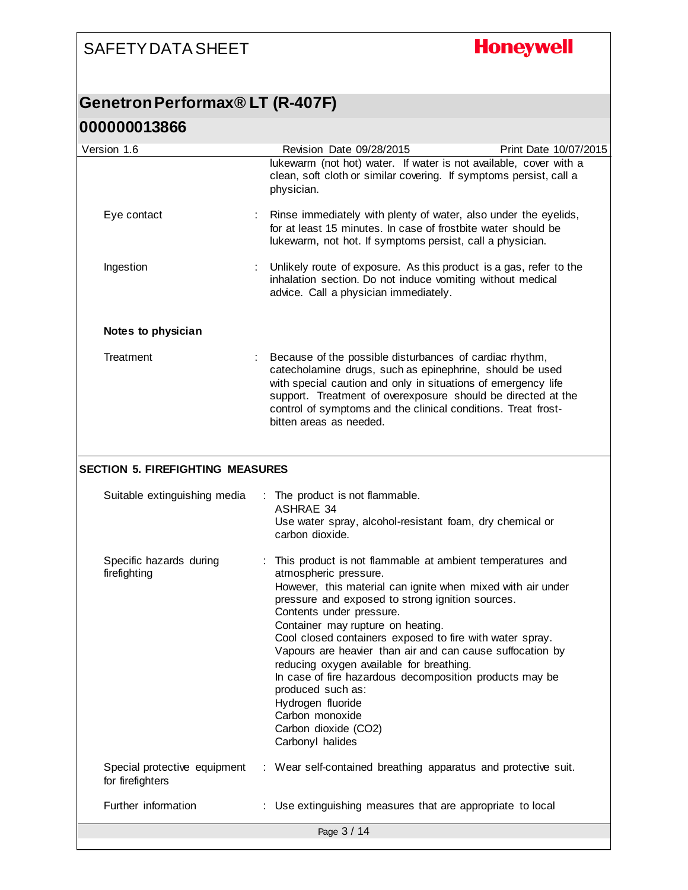# **Honeywell**

#### **Genetron Performax® LT (R-407F)**

| Version 1.6                                      | Revision Date 09/28/2015                                                                                                                                                                                                                                                                                                                                                                                                                                                                                                                                                                                        | Print Date 10/07/2015 |
|--------------------------------------------------|-----------------------------------------------------------------------------------------------------------------------------------------------------------------------------------------------------------------------------------------------------------------------------------------------------------------------------------------------------------------------------------------------------------------------------------------------------------------------------------------------------------------------------------------------------------------------------------------------------------------|-----------------------|
|                                                  | lukewarm (not hot) water. If water is not available, cover with a<br>clean, soft cloth or similar covering. If symptoms persist, call a<br>physician.                                                                                                                                                                                                                                                                                                                                                                                                                                                           |                       |
| Eye contact                                      | Rinse immediately with plenty of water, also under the eyelids,<br>for at least 15 minutes. In case of frostbite water should be<br>lukewarm, not hot. If symptoms persist, call a physician.                                                                                                                                                                                                                                                                                                                                                                                                                   |                       |
| Ingestion                                        | Unlikely route of exposure. As this product is a gas, refer to the<br>inhalation section. Do not induce vomiting without medical<br>advice. Call a physician immediately.                                                                                                                                                                                                                                                                                                                                                                                                                                       |                       |
| Notes to physician                               |                                                                                                                                                                                                                                                                                                                                                                                                                                                                                                                                                                                                                 |                       |
| Treatment                                        | Because of the possible disturbances of cardiac rhythm,<br>catecholamine drugs, such as epinephrine, should be used<br>with special caution and only in situations of emergency life<br>support. Treatment of overexposure should be directed at the<br>control of symptoms and the clinical conditions. Treat frost-<br>bitten areas as needed.                                                                                                                                                                                                                                                                |                       |
| <b>SECTION 5. FIREFIGHTING MEASURES</b>          |                                                                                                                                                                                                                                                                                                                                                                                                                                                                                                                                                                                                                 |                       |
|                                                  | The product is not flammable.                                                                                                                                                                                                                                                                                                                                                                                                                                                                                                                                                                                   |                       |
| Suitable extinguishing media                     | <b>ASHRAE 34</b><br>Use water spray, alcohol-resistant foam, dry chemical or<br>carbon dioxide.                                                                                                                                                                                                                                                                                                                                                                                                                                                                                                                 |                       |
| Specific hazards during<br>firefighting          | This product is not flammable at ambient temperatures and<br>atmospheric pressure.<br>However, this material can ignite when mixed with air under<br>pressure and exposed to strong ignition sources.<br>Contents under pressure.<br>Container may rupture on heating.<br>Cool closed containers exposed to fire with water spray.<br>Vapours are heavier than air and can cause suffocation by<br>reducing oxygen available for breathing.<br>In case of fire hazardous decomposition products may be<br>produced such as:<br>Hydrogen fluoride<br>Carbon monoxide<br>Carbon dioxide (CO2)<br>Carbonyl halides |                       |
| Special protective equipment<br>for firefighters | : Wear self-contained breathing apparatus and protective suit.                                                                                                                                                                                                                                                                                                                                                                                                                                                                                                                                                  |                       |
| Further information                              | : Use extinguishing measures that are appropriate to local                                                                                                                                                                                                                                                                                                                                                                                                                                                                                                                                                      |                       |
|                                                  | Page 3 / 14                                                                                                                                                                                                                                                                                                                                                                                                                                                                                                                                                                                                     |                       |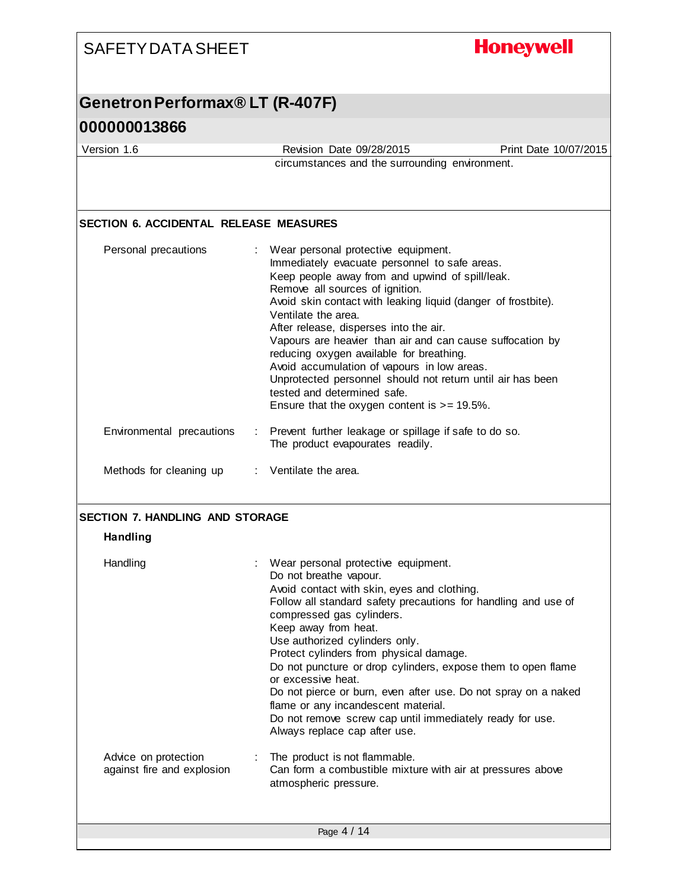| <b>SAFETY DATA SHEET</b>                                  | <b>Honeywell</b>                                                                                                                                                                                                                                                                                                                                                                                                                                                                                                                                                                                                       |
|-----------------------------------------------------------|------------------------------------------------------------------------------------------------------------------------------------------------------------------------------------------------------------------------------------------------------------------------------------------------------------------------------------------------------------------------------------------------------------------------------------------------------------------------------------------------------------------------------------------------------------------------------------------------------------------------|
| Genetron Performax® LT (R-407F)                           |                                                                                                                                                                                                                                                                                                                                                                                                                                                                                                                                                                                                                        |
| 000000013866                                              |                                                                                                                                                                                                                                                                                                                                                                                                                                                                                                                                                                                                                        |
| Version 1.6                                               | Revision Date 09/28/2015<br>Print Date 10/07/2015                                                                                                                                                                                                                                                                                                                                                                                                                                                                                                                                                                      |
|                                                           | circumstances and the surrounding environment.                                                                                                                                                                                                                                                                                                                                                                                                                                                                                                                                                                         |
| <b>SECTION 6. ACCIDENTAL RELEASE MEASURES</b>             |                                                                                                                                                                                                                                                                                                                                                                                                                                                                                                                                                                                                                        |
| Personal precautions                                      | : Wear personal protective equipment.<br>Immediately evacuate personnel to safe areas.<br>Keep people away from and upwind of spill/leak.<br>Remove all sources of ignition.<br>Avoid skin contact with leaking liquid (danger of frostbite).<br>Ventilate the area.<br>After release, disperses into the air.<br>Vapours are heavier than air and can cause suffocation by<br>reducing oxygen available for breathing.<br>Avoid accumulation of vapours in low areas.<br>Unprotected personnel should not return until air has been<br>tested and determined safe.<br>Ensure that the oxygen content is $>= 19.5\%$ . |
| Environmental precautions                                 | : Prevent further leakage or spillage if safe to do so.<br>The product evapourates readily.                                                                                                                                                                                                                                                                                                                                                                                                                                                                                                                            |
| Methods for cleaning up                                   | : Ventilate the area.                                                                                                                                                                                                                                                                                                                                                                                                                                                                                                                                                                                                  |
| <b>SECTION 7. HANDLING AND STORAGE</b><br><b>Handling</b> |                                                                                                                                                                                                                                                                                                                                                                                                                                                                                                                                                                                                                        |
| Handling                                                  | Wear personal protective equipment.<br>Do not breathe vapour.<br>Avoid contact with skin, eyes and clothing.<br>Follow all standard safety precautions for handling and use of<br>compressed gas cylinders.<br>Keep away from heat.<br>Use authorized cylinders only.<br>Protect cylinders from physical damage.<br>Do not puncture or drop cylinders, expose them to open flame<br>or excessive heat.<br>Do not pierce or burn, even after use. Do not spray on a naked<br>flame or any incandescent material.<br>Do not remove screw cap until immediately ready for use.<br>Always replace cap after use.           |
| Advice on protection<br>against fire and explosion        | The product is not flammable.<br>Can form a combustible mixture with air at pressures above<br>atmospheric pressure.                                                                                                                                                                                                                                                                                                                                                                                                                                                                                                   |
|                                                           | Page 4 / 14                                                                                                                                                                                                                                                                                                                                                                                                                                                                                                                                                                                                            |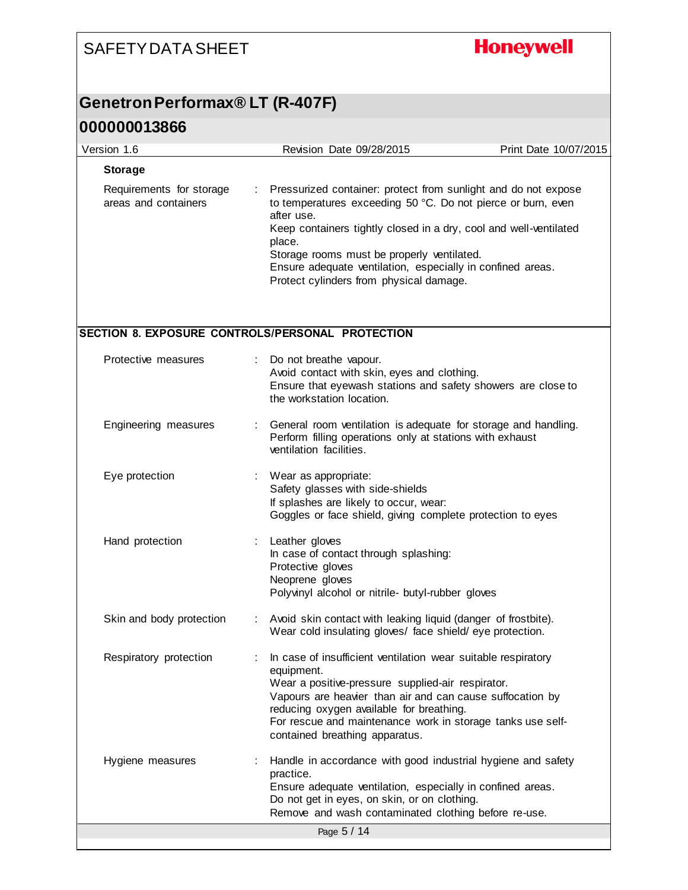## **Honeywell**

#### **Genetron Performax® LT (R-407F)**

| Version 1.6                                      |    | Revision Date 09/28/2015                                                                                                                                                                                                                                                                                                                                                           | Print Date 10/07/2015 |
|--------------------------------------------------|----|------------------------------------------------------------------------------------------------------------------------------------------------------------------------------------------------------------------------------------------------------------------------------------------------------------------------------------------------------------------------------------|-----------------------|
| <b>Storage</b>                                   |    |                                                                                                                                                                                                                                                                                                                                                                                    |                       |
| Requirements for storage<br>areas and containers | ÷. | Pressurized container: protect from sunlight and do not expose<br>to temperatures exceeding 50 °C. Do not pierce or burn, even<br>after use.<br>Keep containers tightly closed in a dry, cool and well-ventilated<br>place.<br>Storage rooms must be properly ventilated.<br>Ensure adequate ventilation, especially in confined areas.<br>Protect cylinders from physical damage. |                       |
| SECTION 8. EXPOSURE CONTROLS/PERSONAL PROTECTION |    |                                                                                                                                                                                                                                                                                                                                                                                    |                       |
| Protective measures                              |    | Do not breathe vapour.<br>Avoid contact with skin, eyes and clothing.<br>Ensure that eyewash stations and safety showers are close to<br>the workstation location.                                                                                                                                                                                                                 |                       |
| Engineering measures                             |    | General room ventilation is adequate for storage and handling.<br>Perform filling operations only at stations with exhaust<br>ventilation facilities.                                                                                                                                                                                                                              |                       |
| Eye protection                                   |    | Wear as appropriate:<br>Safety glasses with side-shields<br>If splashes are likely to occur, wear:<br>Goggles or face shield, giving complete protection to eyes                                                                                                                                                                                                                   |                       |
| Hand protection                                  |    | Leather gloves<br>In case of contact through splashing:<br>Protective gloves<br>Neoprene gloves<br>Polyvinyl alcohol or nitrile- butyl-rubber gloves                                                                                                                                                                                                                               |                       |
| Skin and body protection                         |    | Avoid skin contact with leaking liquid (danger of frostbite).<br>Wear cold insulating gloves/ face shield/eye protection.                                                                                                                                                                                                                                                          |                       |
| Respiratory protection                           |    | In case of insufficient ventilation wear suitable respiratory<br>equipment.<br>Wear a positive-pressure supplied-air respirator.<br>Vapours are heavier than air and can cause suffocation by<br>reducing oxygen available for breathing.<br>For rescue and maintenance work in storage tanks use self-<br>contained breathing apparatus.                                          |                       |
| Hygiene measures                                 |    | Handle in accordance with good industrial hygiene and safety<br>practice.<br>Ensure adequate ventilation, especially in confined areas.<br>Do not get in eyes, on skin, or on clothing.<br>Remove and wash contaminated clothing before re-use.                                                                                                                                    |                       |
|                                                  |    | Page 5 / 14                                                                                                                                                                                                                                                                                                                                                                        |                       |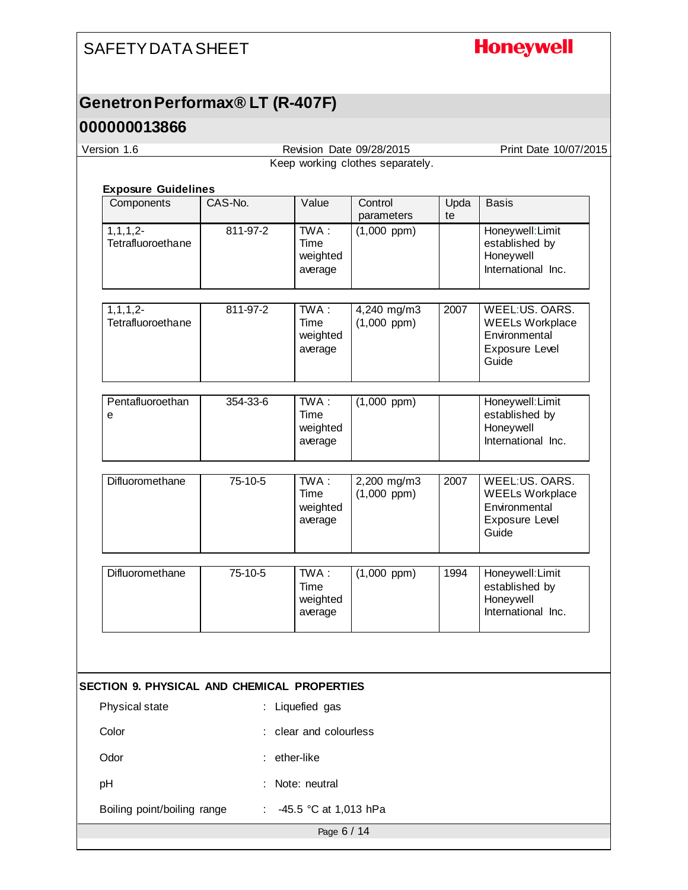## **Honeywell**

## **Genetron Performax® LT (R-407F)**

#### **000000013866**

| Version 1.6                                          |          |                                     | Revision Date 09/28/2015        |            | Print Date 10/07/2015                                                                |
|------------------------------------------------------|----------|-------------------------------------|---------------------------------|------------|--------------------------------------------------------------------------------------|
| Keep working clothes separately.                     |          |                                     |                                 |            |                                                                                      |
|                                                      |          |                                     |                                 |            |                                                                                      |
| <b>Exposure Guidelines</b><br>Components             | CAS-No.  | Value                               | Control<br>parameters           | Upda<br>te | <b>Basis</b>                                                                         |
| $1, 1, 1, 2-$<br>Tetrafluoroethane                   | 811-97-2 | TWA:<br>Time<br>weighted<br>average | $(1,000$ ppm $)$                |            | Honeywell: Limit<br>established by<br>Honeywell<br>International Inc.                |
| $1, 1, 1, 2-$<br>Tetrafluoroethane                   | 811-97-2 | TWA:<br>Time<br>weighted<br>average | 4,240 mg/m3<br>$(1,000$ ppm $)$ | 2007       | WEEL:US. OARS.<br><b>WEELs Workplace</b><br>Environmental<br>Exposure Level<br>Guide |
| Pentafluoroethan<br>e                                | 354-33-6 | TWA:<br>Time<br>weighted<br>average | $(1,000$ ppm)                   |            | Honeywell: Limit<br>established by<br>Honeywell<br>International Inc.                |
| Difluoromethane                                      | 75-10-5  | TWA:<br>Time<br>weighted<br>average | 2,200 mg/m3<br>$(1,000$ ppm)    | 2007       | WEEL:US. OARS.<br><b>WEELs Workplace</b><br>Environmental<br>Exposure Level<br>Guide |
| Difluoromethane                                      | 75-10-5  | TWA:<br>Time<br>weighted<br>average | $(1,000$ ppm $)$                | 1994       | Honeywell: Limit<br>established by<br>Honeywell<br>International Inc.                |
|                                                      |          |                                     |                                 |            |                                                                                      |
| <b>SECTION 9. PHYSICAL AND CHEMICAL PROPERTIES</b>   |          |                                     |                                 |            |                                                                                      |
| Physical state                                       |          | Liquefied gas                       |                                 |            |                                                                                      |
| Color                                                |          | clear and colourless                |                                 |            |                                                                                      |
| Odor                                                 |          | ether-like                          |                                 |            |                                                                                      |
| pH                                                   |          | Note: neutral                       |                                 |            |                                                                                      |
| Boiling point/boiling range<br>-45.5 °C at 1,013 hPa |          |                                     |                                 |            |                                                                                      |

Page 6 / 14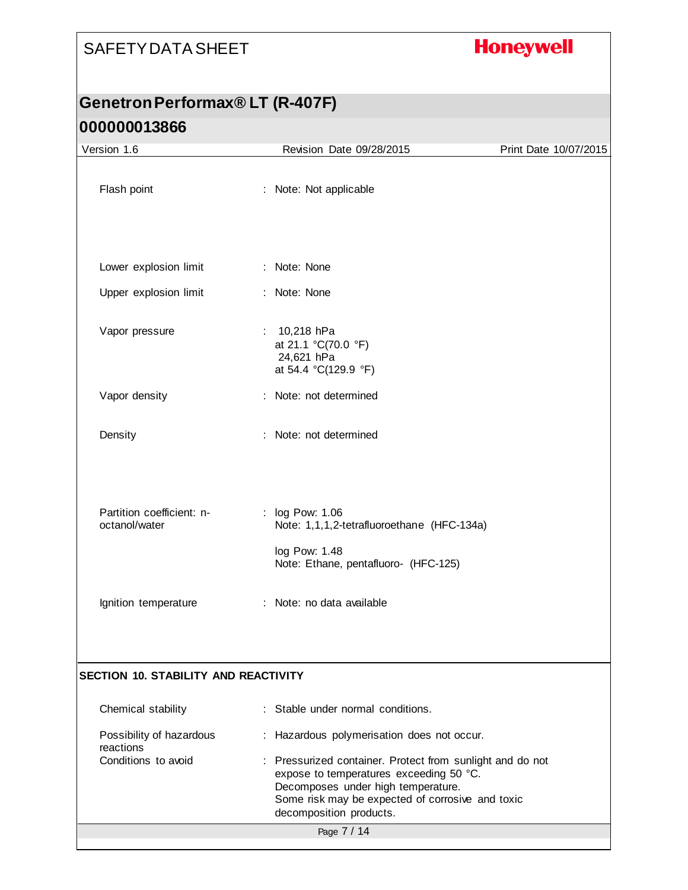## **Honeywell**

## **Genetron Performax® LT (R-407F) 000000013866**

| Version 1.6                                 | Revision Date 09/28/2015                                                                                                                                                                                                  | Print Date 10/07/2015 |
|---------------------------------------------|---------------------------------------------------------------------------------------------------------------------------------------------------------------------------------------------------------------------------|-----------------------|
| Flash point                                 | : Note: Not applicable                                                                                                                                                                                                    |                       |
|                                             |                                                                                                                                                                                                                           |                       |
| Lower explosion limit                       | : Note: None                                                                                                                                                                                                              |                       |
| Upper explosion limit                       | : Note: None                                                                                                                                                                                                              |                       |
| Vapor pressure                              | : $10,218$ hPa<br>at 21.1 °C(70.0 °F)<br>24,621 hPa<br>at 54.4 °C(129.9 °F)                                                                                                                                               |                       |
| Vapor density                               | : Note: not determined                                                                                                                                                                                                    |                       |
| Density                                     | : Note: not determined                                                                                                                                                                                                    |                       |
| Partition coefficient: n-<br>octanol/water  | : log Pow: 1.06<br>Note: 1,1,1,2-tetrafluoroethane (HFC-134a)<br>log Pow: 1.48                                                                                                                                            |                       |
| Ignition temperature                        | Note: Ethane, pentafluoro- (HFC-125)<br>: Note: no data available                                                                                                                                                         |                       |
| <b>SECTION 10. STABILITY AND REACTIVITY</b> |                                                                                                                                                                                                                           |                       |
| Chemical stability                          | : Stable under normal conditions.                                                                                                                                                                                         |                       |
| Possibility of hazardous<br>reactions       | : Hazardous polymerisation does not occur.                                                                                                                                                                                |                       |
| Conditions to avoid                         | : Pressurized container. Protect from sunlight and do not<br>expose to temperatures exceeding 50 °C.<br>Decomposes under high temperature.<br>Some risk may be expected of corrosive and toxic<br>decomposition products. |                       |
|                                             | Page 7 / 14                                                                                                                                                                                                               |                       |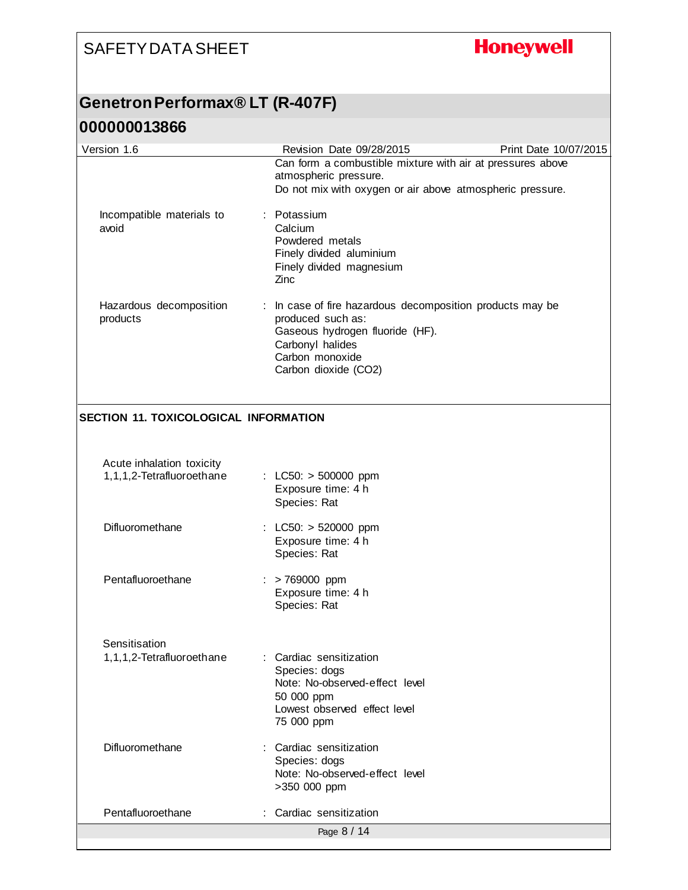## **Honeywell**

## **Genetron Performax® LT (R-407F)**

| Version 1.6                                            | Revision Date 09/28/2015                                                                                                                                                         | Print Date 10/07/2015 |
|--------------------------------------------------------|----------------------------------------------------------------------------------------------------------------------------------------------------------------------------------|-----------------------|
|                                                        | Can form a combustible mixture with air at pressures above<br>atmospheric pressure.<br>Do not mix with oxygen or air above atmospheric pressure.                                 |                       |
| Incompatible materials to<br>avoid                     | Potassium<br>Calcium<br>Powdered metals<br>Finely divided aluminium<br>Finely divided magnesium<br>Zinc                                                                          |                       |
| Hazardous decomposition<br>products                    | : In case of fire hazardous decomposition products may be<br>produced such as:<br>Gaseous hydrogen fluoride (HF).<br>Carbonyl halides<br>Carbon monoxide<br>Carbon dioxide (CO2) |                       |
| <b>SECTION 11. TOXICOLOGICAL INFORMATION</b>           |                                                                                                                                                                                  |                       |
| Acute inhalation toxicity<br>1,1,1,2-Tetrafluoroethane | : LC50: $>$ 500000 ppm<br>Exposure time: 4 h<br>Species: Rat                                                                                                                     |                       |
| Difluoromethane                                        | : LC50: > 520000 ppm<br>Exposure time: 4 h<br>Species: Rat                                                                                                                       |                       |
| Pentafluoroethane                                      | : > 769000 ppm<br>Exposure time: 4 h<br>Species: Rat                                                                                                                             |                       |
| Sensitisation<br>1,1,1,2-Tetrafluoroethane             | : Cardiac sensitization<br>Species: dogs<br>Note: No-observed-effect level<br>50 000 ppm<br>Lowest observed effect level<br>75 000 ppm                                           |                       |
| Difluoromethane                                        | : Cardiac sensitization<br>Species: dogs<br>Note: No-observed-effect level<br>>350 000 ppm                                                                                       |                       |
| Pentafluoroethane                                      | Cardiac sensitization                                                                                                                                                            |                       |
|                                                        | Page 8 / 14                                                                                                                                                                      |                       |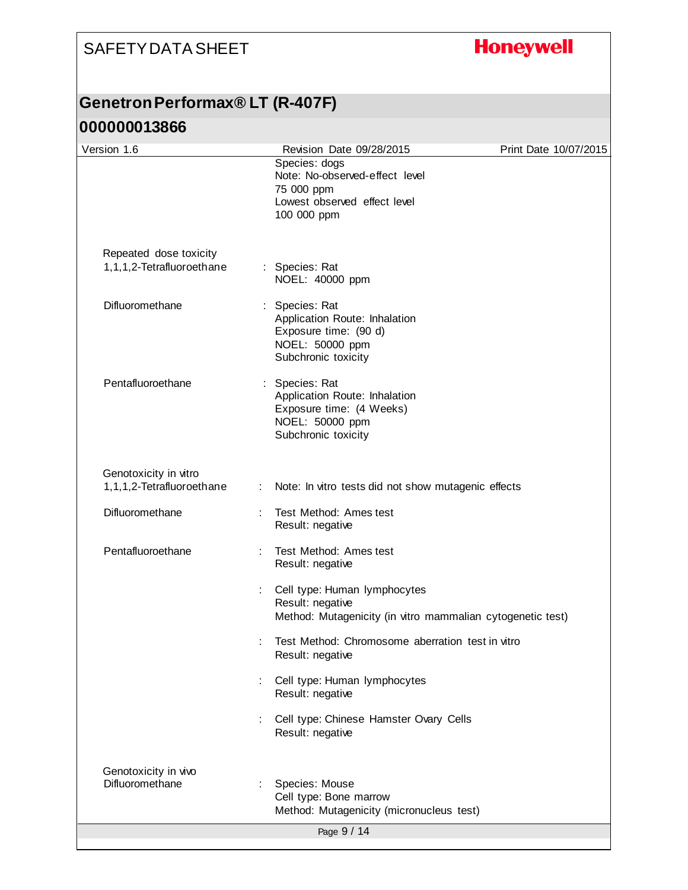## **Honeywell**

## **Genetron Performax® LT (R-407F)**

| Version 1.6                                         | Revision Date 09/28/2015                                                                                              | Print Date 10/07/2015 |
|-----------------------------------------------------|-----------------------------------------------------------------------------------------------------------------------|-----------------------|
|                                                     | Species: dogs<br>Note: No-observed-effect level<br>75 000 ppm<br>Lowest observed effect level<br>100 000 ppm          |                       |
|                                                     |                                                                                                                       |                       |
| Repeated dose toxicity<br>1,1,1,2-Tetrafluoroethane | : Species: Rat<br>NOEL: 40000 ppm                                                                                     |                       |
| Difluoromethane                                     | Species: Rat<br>Application Route: Inhalation<br>Exposure time: (90 d)<br>NOEL: 50000 ppm<br>Subchronic toxicity      |                       |
| Pentafluoroethane                                   | : Species: Rat<br>Application Route: Inhalation<br>Exposure time: (4 Weeks)<br>NOEL: 50000 ppm<br>Subchronic toxicity |                       |
| Genotoxicity in vitro<br>1,1,1,2-Tetrafluoroethane  | t in<br>Note: In vitro tests did not show mutagenic effects                                                           |                       |
| Difluoromethane                                     | Test Method: Ames test<br>Result: negative                                                                            |                       |
| Pentafluoroethane                                   | Test Method: Ames test<br>Result: negative                                                                            |                       |
|                                                     | Cell type: Human lymphocytes<br>Result: negative<br>Method: Mutagenicity (in vitro mammalian cytogenetic test)        |                       |
|                                                     | Test Method: Chromosome aberration test in vitro<br>Result: negative                                                  |                       |
|                                                     | Cell type: Human lymphocytes<br>Result: negative                                                                      |                       |
|                                                     | Cell type: Chinese Hamster Ovary Cells<br>Result: negative                                                            |                       |
| Genotoxicity in vivo<br>Difluoromethane             | Species: Mouse<br>Cell type: Bone marrow<br>Method: Mutagenicity (micronucleus test)                                  |                       |
|                                                     | Page 9 / 14                                                                                                           |                       |
|                                                     |                                                                                                                       |                       |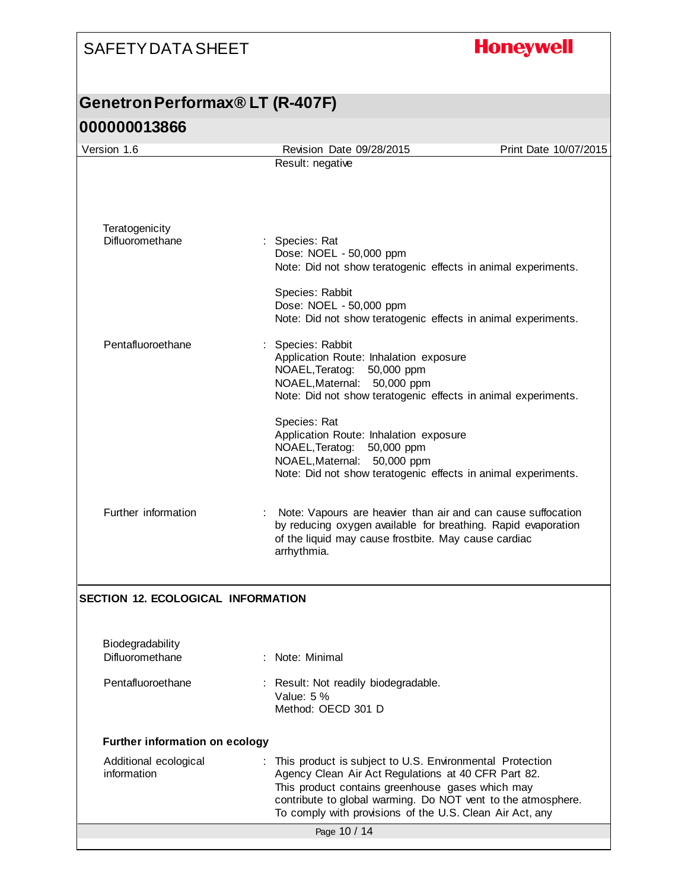## **Honeywell**

## **Genetron Performax® LT (R-407F) 000000013866**

| Version 1.6                               | Revision Date 09/28/2015                                                                                                        | Print Date 10/07/2015 |  |  |  |
|-------------------------------------------|---------------------------------------------------------------------------------------------------------------------------------|-----------------------|--|--|--|
|                                           | Result: negative                                                                                                                |                       |  |  |  |
|                                           |                                                                                                                                 |                       |  |  |  |
|                                           |                                                                                                                                 |                       |  |  |  |
| Teratogenicity<br>Difluoromethane         | Species: Rat                                                                                                                    |                       |  |  |  |
|                                           | Dose: NOEL - 50,000 ppm<br>Note: Did not show teratogenic effects in animal experiments.                                        |                       |  |  |  |
|                                           |                                                                                                                                 |                       |  |  |  |
|                                           | Species: Rabbit<br>Dose: NOEL - 50,000 ppm                                                                                      |                       |  |  |  |
|                                           | Note: Did not show teratogenic effects in animal experiments.                                                                   |                       |  |  |  |
| Pentafluoroethane                         | Species: Rabbit                                                                                                                 |                       |  |  |  |
|                                           | Application Route: Inhalation exposure<br>NOAEL, Teratog: 50,000 ppm                                                            |                       |  |  |  |
|                                           | NOAEL, Maternal: 50,000 ppm<br>Note: Did not show teratogenic effects in animal experiments.                                    |                       |  |  |  |
|                                           |                                                                                                                                 |                       |  |  |  |
|                                           | Species: Rat<br>Application Route: Inhalation exposure                                                                          |                       |  |  |  |
|                                           | NOAEL, Teratog:<br>50,000 ppm<br>NOAEL, Maternal: 50,000 ppm                                                                    |                       |  |  |  |
|                                           | Note: Did not show teratogenic effects in animal experiments.                                                                   |                       |  |  |  |
|                                           |                                                                                                                                 |                       |  |  |  |
| Further information                       | : Note: Vapours are heavier than air and can cause suffocation<br>by reducing oxygen available for breathing. Rapid evaporation |                       |  |  |  |
|                                           | of the liquid may cause frostbite. May cause cardiac<br>arrhythmia.                                                             |                       |  |  |  |
|                                           |                                                                                                                                 |                       |  |  |  |
| <b>SECTION 12. ECOLOGICAL INFORMATION</b> |                                                                                                                                 |                       |  |  |  |
|                                           |                                                                                                                                 |                       |  |  |  |
| Biodegradability                          |                                                                                                                                 |                       |  |  |  |
| Difluoromethane                           | : Note: Minimal                                                                                                                 |                       |  |  |  |
| Pentafluoroethane                         | : Result: Not readily biodegradable.                                                                                            |                       |  |  |  |
|                                           | Value: $5%$<br>Method: OECD 301 D                                                                                               |                       |  |  |  |
|                                           |                                                                                                                                 |                       |  |  |  |
| <b>Further information on ecology</b>     |                                                                                                                                 |                       |  |  |  |
| Additional ecological<br>information      | : This product is subject to U.S. Environmental Protection<br>Agency Clean Air Act Regulations at 40 CFR Part 82.               |                       |  |  |  |
|                                           | This product contains greenhouse gases which may<br>contribute to global warming. Do NOT vent to the atmosphere.                |                       |  |  |  |
|                                           | To comply with provisions of the U.S. Clean Air Act, any                                                                        |                       |  |  |  |
|                                           | Page 10 / 14                                                                                                                    |                       |  |  |  |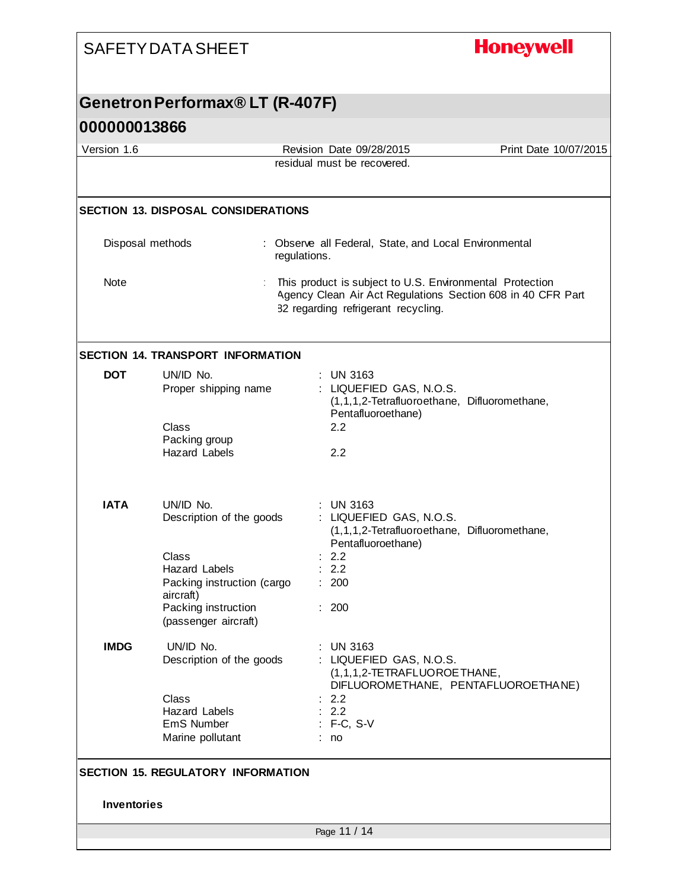# **Honeywell**

## **Genetron Performax® LT (R-407F)**

| Version 1.6        |                                                                                                                                                                | Revision Date 09/28/2015                                                                                            | Print Date 10/07/2015 |  |  |
|--------------------|----------------------------------------------------------------------------------------------------------------------------------------------------------------|---------------------------------------------------------------------------------------------------------------------|-----------------------|--|--|
|                    |                                                                                                                                                                | residual must be recovered.                                                                                         |                       |  |  |
|                    |                                                                                                                                                                |                                                                                                                     |                       |  |  |
|                    | <b>SECTION 13. DISPOSAL CONSIDERATIONS</b>                                                                                                                     |                                                                                                                     |                       |  |  |
| Disposal methods   |                                                                                                                                                                | : Observe all Federal, State, and Local Environmental<br>regulations.                                               |                       |  |  |
| Note               | This product is subject to U.S. Environmental Protection<br>Agency Clean Air Act Regulations Section 608 in 40 CFR Part<br>82 regarding refrigerant recycling. |                                                                                                                     |                       |  |  |
|                    | <b>SECTION 14. TRANSPORT INFORMATION</b>                                                                                                                       |                                                                                                                     |                       |  |  |
| <b>DOT</b>         | UN/ID No.<br>Proper shipping name<br>Class                                                                                                                     | $:$ UN 3163<br>: LIQUEFIED GAS, N.O.S.<br>(1,1,1,2-Tetrafluoroethane, Difluoromethane,<br>Pentafluoroethane)<br>2.2 |                       |  |  |
|                    | Packing group<br><b>Hazard Labels</b>                                                                                                                          | 2.2                                                                                                                 |                       |  |  |
| <b>IATA</b>        | UN/ID No.<br>Description of the goods                                                                                                                          | $:$ UN 3163<br>: LIQUEFIED GAS, N.O.S.<br>(1,1,1,2-Tetrafluoroethane, Difluoromethane,<br>Pentafluoroethane)        |                       |  |  |
|                    | Class<br><b>Hazard Labels</b><br>Packing instruction (cargo<br>aircraft)                                                                                       | : 2.2<br>2.2<br>: 200                                                                                               |                       |  |  |
|                    | Packing instruction<br>(passenger aircraft)                                                                                                                    | : 200                                                                                                               |                       |  |  |
| <b>IMDG</b>        | UN/ID No.<br>Description of the goods                                                                                                                          | <b>UN 3163</b><br>LIQUEFIED GAS, N.O.S.<br>(1,1,1,2-TETRAFLUOROETHANE,<br>DIFLUOROMETHANE, PENTAFLUOROETHANE)       |                       |  |  |
|                    | Class<br><b>Hazard Labels</b><br>EmS Number<br>Marine pollutant                                                                                                | 2.2<br>: 2.2<br>$: F-C, S-V$<br>: no                                                                                |                       |  |  |
|                    | <b>SECTION 15. REGULATORY INFORMATION</b>                                                                                                                      |                                                                                                                     |                       |  |  |
| <b>Inventories</b> |                                                                                                                                                                |                                                                                                                     |                       |  |  |
|                    |                                                                                                                                                                | Page 11 / 14                                                                                                        |                       |  |  |
|                    |                                                                                                                                                                |                                                                                                                     |                       |  |  |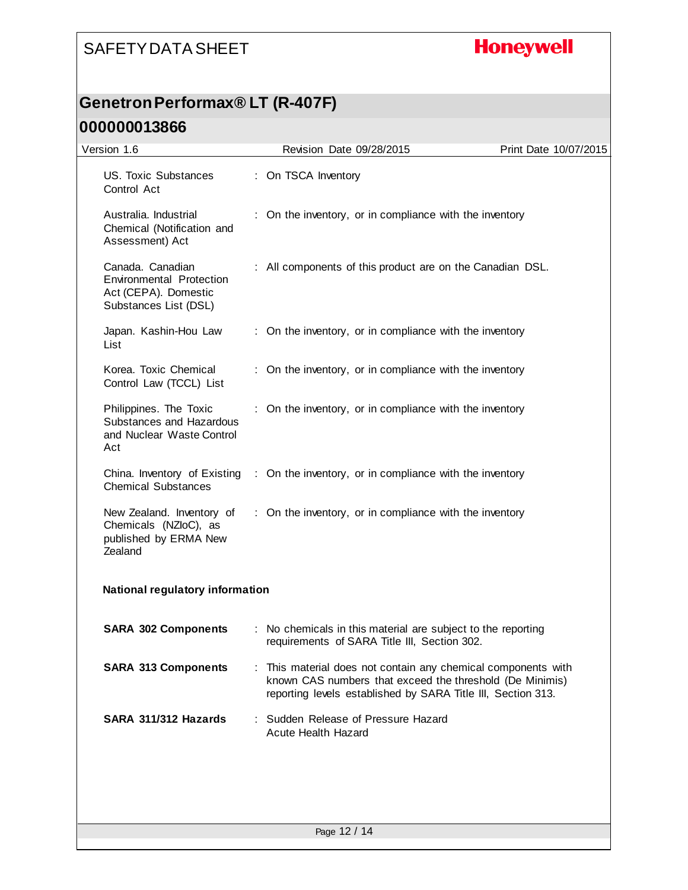## **Honeywell**

## **Genetron Performax® LT (R-407F)**

| Version 1.6                                                                                   | Revision Date 09/28/2015                                                                                                                                                                | Print Date 10/07/2015 |
|-----------------------------------------------------------------------------------------------|-----------------------------------------------------------------------------------------------------------------------------------------------------------------------------------------|-----------------------|
| US. Toxic Substances<br>Control Act                                                           | : On TSCA Inventory                                                                                                                                                                     |                       |
| Australia. Industrial<br>Chemical (Notification and<br>Assessment) Act                        | : On the inventory, or in compliance with the inventory                                                                                                                                 |                       |
| Canada. Canadian<br>Environmental Protection<br>Act (CEPA). Domestic<br>Substances List (DSL) | : All components of this product are on the Canadian DSL.                                                                                                                               |                       |
| Japan. Kashin-Hou Law<br>List                                                                 | : On the inventory, or in compliance with the inventory                                                                                                                                 |                       |
| Korea. Toxic Chemical<br>Control Law (TCCL) List                                              | : On the inventory, or in compliance with the inventory                                                                                                                                 |                       |
| Philippines. The Toxic<br>Substances and Hazardous<br>and Nuclear Waste Control<br>Act        | : On the inventory, or in compliance with the inventory                                                                                                                                 |                       |
| China. Inventory of Existing<br><b>Chemical Substances</b>                                    | : On the inventory, or in compliance with the inventory                                                                                                                                 |                       |
| New Zealand. Inventory of<br>Chemicals (NZloC), as<br>published by ERMA New<br>Zealand        | : On the inventory, or in compliance with the inventory                                                                                                                                 |                       |
| <b>National regulatory information</b>                                                        |                                                                                                                                                                                         |                       |
| <b>SARA 302 Components</b>                                                                    | : No chemicals in this material are subject to the reporting<br>requirements of SARA Title III, Section 302.                                                                            |                       |
| <b>SARA 313 Components</b>                                                                    | This material does not contain any chemical components with<br>known CAS numbers that exceed the threshold (De Minimis)<br>reporting levels established by SARA Title III, Section 313. |                       |
| SARA 311/312 Hazards                                                                          | : Sudden Release of Pressure Hazard<br><b>Acute Health Hazard</b>                                                                                                                       |                       |
|                                                                                               |                                                                                                                                                                                         |                       |
|                                                                                               | Page 12 / 14                                                                                                                                                                            |                       |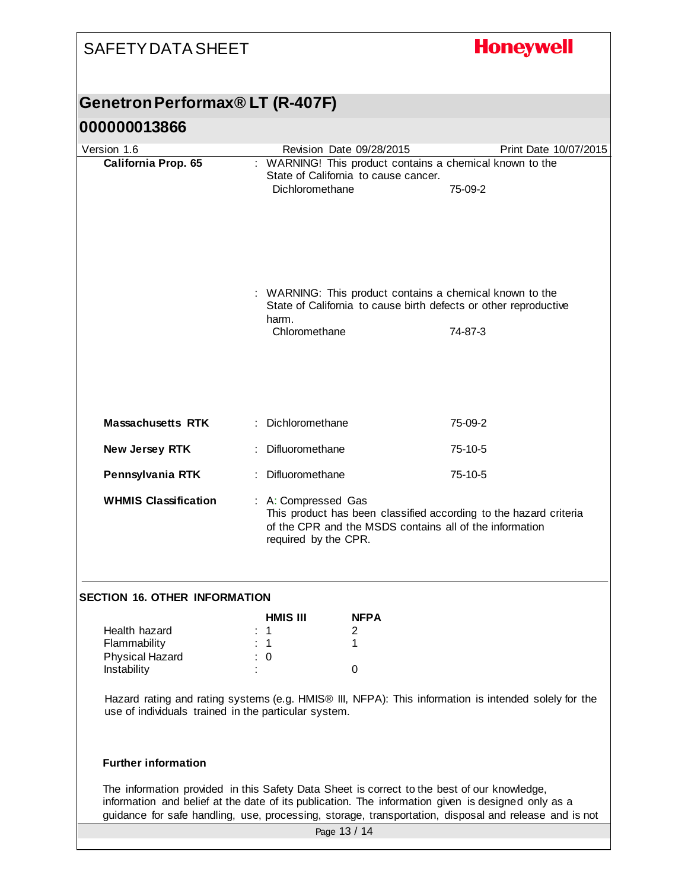| <b>SAFETY DATA SHEET</b>                                                                                                                                                                                                                                                                                   |    |                                                                                                                                                                             |                                      | <b>Honeywell</b>                                         |  |
|------------------------------------------------------------------------------------------------------------------------------------------------------------------------------------------------------------------------------------------------------------------------------------------------------------|----|-----------------------------------------------------------------------------------------------------------------------------------------------------------------------------|--------------------------------------|----------------------------------------------------------|--|
| Genetron Performax® LT (R-407F)                                                                                                                                                                                                                                                                            |    |                                                                                                                                                                             |                                      |                                                          |  |
| 000000013866                                                                                                                                                                                                                                                                                               |    |                                                                                                                                                                             |                                      |                                                          |  |
| Version 1.6                                                                                                                                                                                                                                                                                                |    | Revision Date 09/28/2015                                                                                                                                                    |                                      | Print Date 10/07/2015                                    |  |
| California Prop. 65                                                                                                                                                                                                                                                                                        |    |                                                                                                                                                                             | State of California to cause cancer. | : WARNING! This product contains a chemical known to the |  |
|                                                                                                                                                                                                                                                                                                            |    | Dichloromethane                                                                                                                                                             |                                      | 75-09-2                                                  |  |
|                                                                                                                                                                                                                                                                                                            |    | : WARNING: This product contains a chemical known to the<br>State of California to cause birth defects or other reproductive                                                |                                      |                                                          |  |
|                                                                                                                                                                                                                                                                                                            |    | harm.                                                                                                                                                                       |                                      |                                                          |  |
|                                                                                                                                                                                                                                                                                                            |    | Chloromethane                                                                                                                                                               |                                      | 74-87-3                                                  |  |
| <b>Massachusetts RTK</b>                                                                                                                                                                                                                                                                                   |    | Dichloromethane                                                                                                                                                             |                                      | 75-09-2                                                  |  |
| New Jersey RTK                                                                                                                                                                                                                                                                                             |    | Difluoromethane                                                                                                                                                             |                                      | 75-10-5                                                  |  |
| Pennsylvania RTK                                                                                                                                                                                                                                                                                           | ÷. | Difluoromethane                                                                                                                                                             |                                      | 75-10-5                                                  |  |
| <b>WHMIS Classification</b>                                                                                                                                                                                                                                                                                |    | : A: Compressed Gas<br>This product has been classified according to the hazard criteria<br>of the CPR and the MSDS contains all of the information<br>required by the CPR. |                                      |                                                          |  |
| <b>SECTION 16. OTHER INFORMATION</b>                                                                                                                                                                                                                                                                       |    |                                                                                                                                                                             |                                      |                                                          |  |
|                                                                                                                                                                                                                                                                                                            |    | <b>HMIS III</b>                                                                                                                                                             | <b>NFPA</b>                          |                                                          |  |
| Health hazard<br>Flammability                                                                                                                                                                                                                                                                              |    | $\therefore$ 1<br>$\therefore$ 1                                                                                                                                            | 2<br>1                               |                                                          |  |
| Physical Hazard                                                                                                                                                                                                                                                                                            |    | $\therefore$ 0                                                                                                                                                              |                                      |                                                          |  |
| Instability                                                                                                                                                                                                                                                                                                |    |                                                                                                                                                                             | 0                                    |                                                          |  |
| Hazard rating and rating systems (e.g. HMIS® III, NFPA): This information is intended solely for the<br>use of individuals trained in the particular system.                                                                                                                                               |    |                                                                                                                                                                             |                                      |                                                          |  |
| <b>Further information</b>                                                                                                                                                                                                                                                                                 |    |                                                                                                                                                                             |                                      |                                                          |  |
| The information provided in this Safety Data Sheet is correct to the best of our knowledge,<br>information and belief at the date of its publication. The information given is designed only as a<br>guidance for safe handling, use, processing, storage, transportation, disposal and release and is not |    |                                                                                                                                                                             |                                      |                                                          |  |
| Page 13 / 14                                                                                                                                                                                                                                                                                               |    |                                                                                                                                                                             |                                      |                                                          |  |